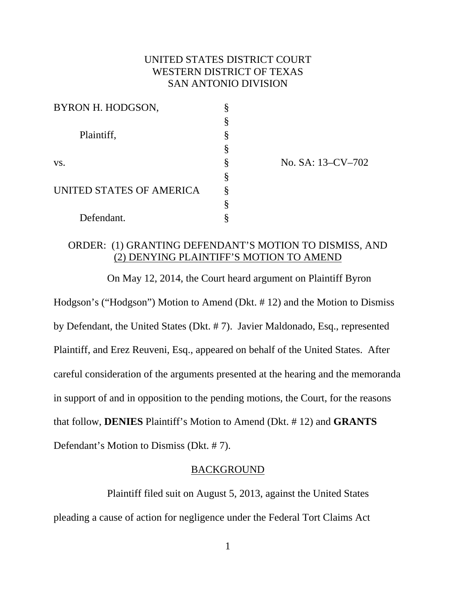# UNITED STATES DISTRICT COURT WESTERN DISTRICT OF TEXAS SAN ANTONIO DIVISION

| BYRON H. HODGSON,        |   |
|--------------------------|---|
| Plaintiff,               | § |
|                          | § |
|                          | § |
| VS.                      | § |
| UNITED STATES OF AMERICA | § |
|                          | Ş |
|                          | Ş |
| Defendant.               |   |

No. SA: 13–CV–702

# ORDER: (1) GRANTING DEFENDANT'S MOTION TO DISMISS, AND (2) DENYING PLAINTIFF'S MOTION TO AMEND

 On May 12, 2014, the Court heard argument on Plaintiff Byron Hodgson's ("Hodgson") Motion to Amend (Dkt. # 12) and the Motion to Dismiss by Defendant, the United States (Dkt. # 7). Javier Maldonado, Esq., represented Plaintiff, and Erez Reuveni, Esq., appeared on behalf of the United States. After careful consideration of the arguments presented at the hearing and the memoranda in support of and in opposition to the pending motions, the Court, for the reasons that follow, **DENIES** Plaintiff's Motion to Amend (Dkt. # 12) and **GRANTS** Defendant's Motion to Dismiss (Dkt. # 7).

### BACKGROUND

 Plaintiff filed suit on August 5, 2013, against the United States pleading a cause of action for negligence under the Federal Tort Claims Act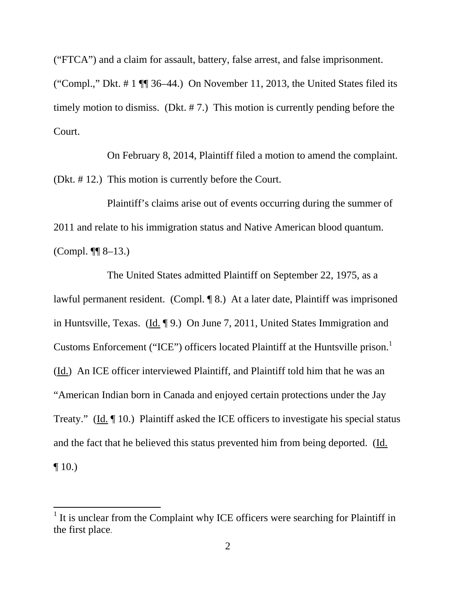("FTCA") and a claim for assault, battery, false arrest, and false imprisonment.

("Compl.," Dkt.  $\# 1 \P \$  36–44.) On November 11, 2013, the United States filed its timely motion to dismiss. (Dkt. # 7.) This motion is currently pending before the Court.

 On February 8, 2014, Plaintiff filed a motion to amend the complaint. (Dkt. # 12.) This motion is currently before the Court.

 Plaintiff's claims arise out of events occurring during the summer of 2011 and relate to his immigration status and Native American blood quantum. (Compl.  $\P\P$  8–13.)

 The United States admitted Plaintiff on September 22, 1975, as a lawful permanent resident. (Compl. ¶ 8.) At a later date, Plaintiff was imprisoned in Huntsville, Texas. (Id. ¶ 9.) On June 7, 2011, United States Immigration and Customs Enforcement ("ICE") officers located Plaintiff at the Huntsville prison.<sup>1</sup> (Id.) An ICE officer interviewed Plaintiff, and Plaintiff told him that he was an "American Indian born in Canada and enjoyed certain protections under the Jay Treaty." (Id. ¶ 10.) Plaintiff asked the ICE officers to investigate his special status and the fact that he believed this status prevented him from being deported. (Id.  $\P$  10.)

 $\overline{a}$ 

<sup>&</sup>lt;sup>1</sup> It is unclear from the Complaint why ICE officers were searching for Plaintiff in the first place.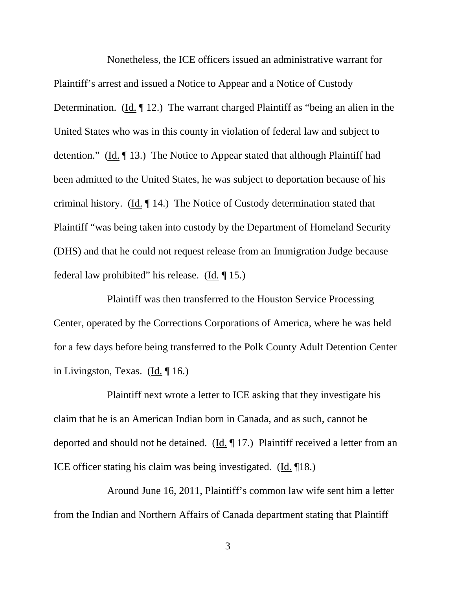Nonetheless, the ICE officers issued an administrative warrant for Plaintiff's arrest and issued a Notice to Appear and a Notice of Custody Determination. (Id. ¶ 12.) The warrant charged Plaintiff as "being an alien in the United States who was in this county in violation of federal law and subject to detention." (Id. ¶ 13.) The Notice to Appear stated that although Plaintiff had been admitted to the United States, he was subject to deportation because of his criminal history. (Id.  $\P$  14.) The Notice of Custody determination stated that Plaintiff "was being taken into custody by the Department of Homeland Security (DHS) and that he could not request release from an Immigration Judge because federal law prohibited" his release. (Id. ¶ 15.)

 Plaintiff was then transferred to the Houston Service Processing Center, operated by the Corrections Corporations of America, where he was held for a few days before being transferred to the Polk County Adult Detention Center in Livingston, Texas. (Id. ¶ 16.)

 Plaintiff next wrote a letter to ICE asking that they investigate his claim that he is an American Indian born in Canada, and as such, cannot be deported and should not be detained. (Id. ¶ 17.) Plaintiff received a letter from an ICE officer stating his claim was being investigated. (Id. ¶18.)

 Around June 16, 2011, Plaintiff's common law wife sent him a letter from the Indian and Northern Affairs of Canada department stating that Plaintiff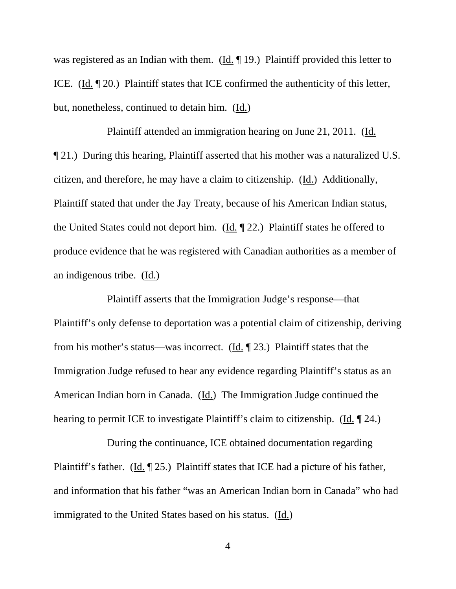was registered as an Indian with them. (Id. ¶ 19.) Plaintiff provided this letter to ICE. (Id. ¶ 20.) Plaintiff states that ICE confirmed the authenticity of this letter, but, nonetheless, continued to detain him. (Id.)

 Plaintiff attended an immigration hearing on June 21, 2011. (Id. ¶ 21.) During this hearing, Plaintiff asserted that his mother was a naturalized U.S. citizen, and therefore, he may have a claim to citizenship. (Id.) Additionally, Plaintiff stated that under the Jay Treaty, because of his American Indian status, the United States could not deport him. (Id. ¶ 22.) Plaintiff states he offered to produce evidence that he was registered with Canadian authorities as a member of an indigenous tribe. (Id.)

 Plaintiff asserts that the Immigration Judge's response—that Plaintiff's only defense to deportation was a potential claim of citizenship, deriving from his mother's status—was incorrect. (Id. ¶ 23.) Plaintiff states that the Immigration Judge refused to hear any evidence regarding Plaintiff's status as an American Indian born in Canada. (Id.) The Immigration Judge continued the hearing to permit ICE to investigate Plaintiff's claim to citizenship. (Id. ¶ 24.)

 During the continuance, ICE obtained documentation regarding Plaintiff's father. (Id. 125.) Plaintiff states that ICE had a picture of his father, and information that his father "was an American Indian born in Canada" who had immigrated to the United States based on his status. (Id.)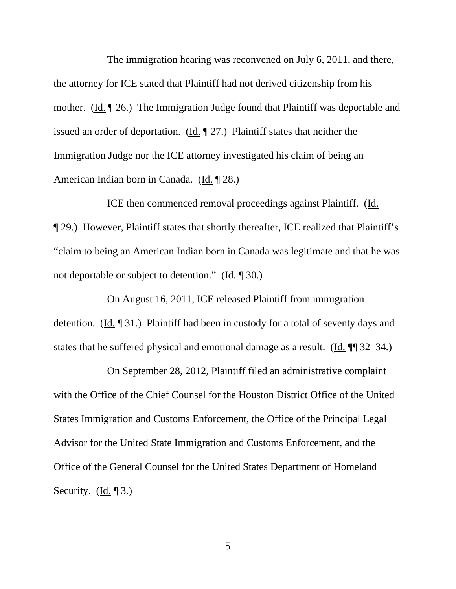The immigration hearing was reconvened on July 6, 2011, and there, the attorney for ICE stated that Plaintiff had not derived citizenship from his mother. (Id. ¶ 26.) The Immigration Judge found that Plaintiff was deportable and issued an order of deportation. (Id. ¶ 27.) Plaintiff states that neither the Immigration Judge nor the ICE attorney investigated his claim of being an American Indian born in Canada. (Id. ¶ 28.)

 ICE then commenced removal proceedings against Plaintiff. (Id. ¶ 29.) However, Plaintiff states that shortly thereafter, ICE realized that Plaintiff's "claim to being an American Indian born in Canada was legitimate and that he was not deportable or subject to detention." (Id. ¶ 30.)

 On August 16, 2011, ICE released Plaintiff from immigration detention. (Id. ¶ 31.) Plaintiff had been in custody for a total of seventy days and states that he suffered physical and emotional damage as a result. (Id. ¶¶ 32–34.)

 On September 28, 2012, Plaintiff filed an administrative complaint with the Office of the Chief Counsel for the Houston District Office of the United States Immigration and Customs Enforcement, the Office of the Principal Legal Advisor for the United State Immigration and Customs Enforcement, and the Office of the General Counsel for the United States Department of Homeland Security. (Id. 13.)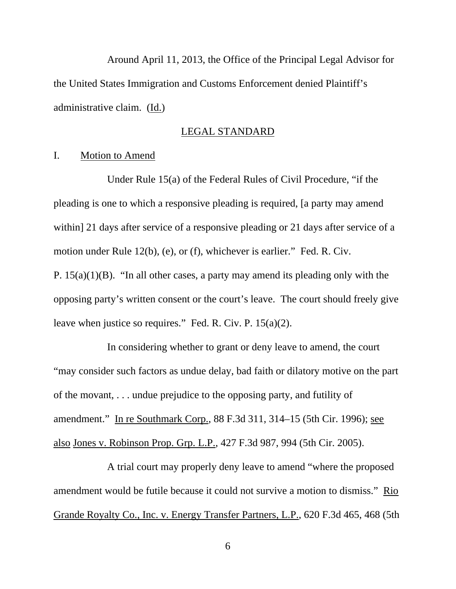Around April 11, 2013, the Office of the Principal Legal Advisor for the United States Immigration and Customs Enforcement denied Plaintiff's administrative claim. (Id.)

# LEGAL STANDARD

#### I. Motion to Amend

 Under Rule 15(a) of the Federal Rules of Civil Procedure, "if the pleading is one to which a responsive pleading is required, [a party may amend within] 21 days after service of a responsive pleading or 21 days after service of a motion under Rule 12(b), (e), or (f), whichever is earlier." Fed. R. Civ. P.  $15(a)(1)(B)$ . "In all other cases, a party may amend its pleading only with the opposing party's written consent or the court's leave. The court should freely give leave when justice so requires." Fed. R. Civ. P. 15(a)(2).

 In considering whether to grant or deny leave to amend, the court "may consider such factors as undue delay, bad faith or dilatory motive on the part of the movant, . . . undue prejudice to the opposing party, and futility of amendment." In re Southmark Corp., 88 F.3d 311, 314–15 (5th Cir. 1996); see also Jones v. Robinson Prop. Grp. L.P., 427 F.3d 987, 994 (5th Cir. 2005).

 A trial court may properly deny leave to amend "where the proposed amendment would be futile because it could not survive a motion to dismiss." Rio Grande Royalty Co., Inc. v. Energy Transfer Partners, L.P., 620 F.3d 465, 468 (5th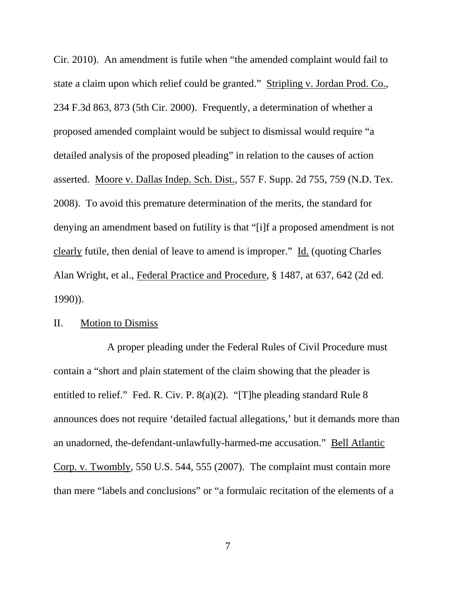Cir. 2010). An amendment is futile when "the amended complaint would fail to state a claim upon which relief could be granted." Stripling v. Jordan Prod. Co., 234 F.3d 863, 873 (5th Cir. 2000). Frequently, a determination of whether a proposed amended complaint would be subject to dismissal would require "a detailed analysis of the proposed pleading" in relation to the causes of action asserted. Moore v. Dallas Indep. Sch. Dist., 557 F. Supp. 2d 755, 759 (N.D. Tex. 2008). To avoid this premature determination of the merits, the standard for denying an amendment based on futility is that "[i]f a proposed amendment is not clearly futile, then denial of leave to amend is improper." Id. (quoting Charles Alan Wright, et al., Federal Practice and Procedure, § 1487, at 637, 642 (2d ed. 1990)).

### II. Motion to Dismiss

 A proper pleading under the Federal Rules of Civil Procedure must contain a "short and plain statement of the claim showing that the pleader is entitled to relief." Fed. R. Civ. P. 8(a)(2). "[T]he pleading standard Rule 8 announces does not require 'detailed factual allegations,' but it demands more than an unadorned, the-defendant-unlawfully-harmed-me accusation." Bell Atlantic Corp. v. Twombly, 550 U.S. 544, 555 (2007). The complaint must contain more than mere "labels and conclusions" or "a formulaic recitation of the elements of a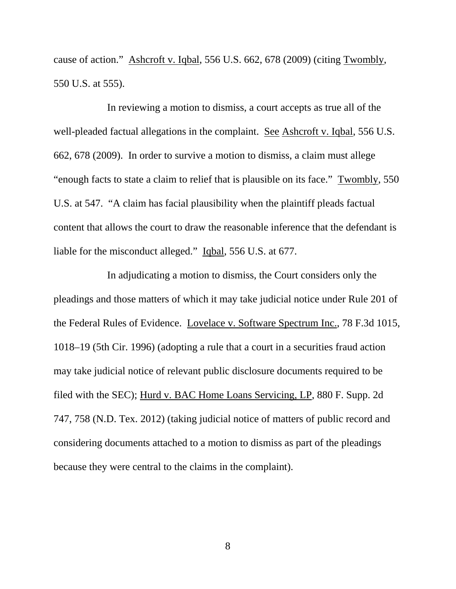cause of action." Ashcroft v. Iqbal, 556 U.S. 662, 678 (2009) (citing Twombly, 550 U.S. at 555).

 In reviewing a motion to dismiss, a court accepts as true all of the well-pleaded factual allegations in the complaint. See Ashcroft v. Iqbal, 556 U.S. 662, 678 (2009). In order to survive a motion to dismiss, a claim must allege "enough facts to state a claim to relief that is plausible on its face." Twombly, 550 U.S. at 547. "A claim has facial plausibility when the plaintiff pleads factual content that allows the court to draw the reasonable inference that the defendant is liable for the misconduct alleged." Iqbal, 556 U.S. at 677.

 In adjudicating a motion to dismiss, the Court considers only the pleadings and those matters of which it may take judicial notice under Rule 201 of the Federal Rules of Evidence. Lovelace v. Software Spectrum Inc., 78 F.3d 1015, 1018–19 (5th Cir. 1996) (adopting a rule that a court in a securities fraud action may take judicial notice of relevant public disclosure documents required to be filed with the SEC); Hurd v. BAC Home Loans Servicing, LP, 880 F. Supp. 2d 747, 758 (N.D. Tex. 2012) (taking judicial notice of matters of public record and considering documents attached to a motion to dismiss as part of the pleadings because they were central to the claims in the complaint).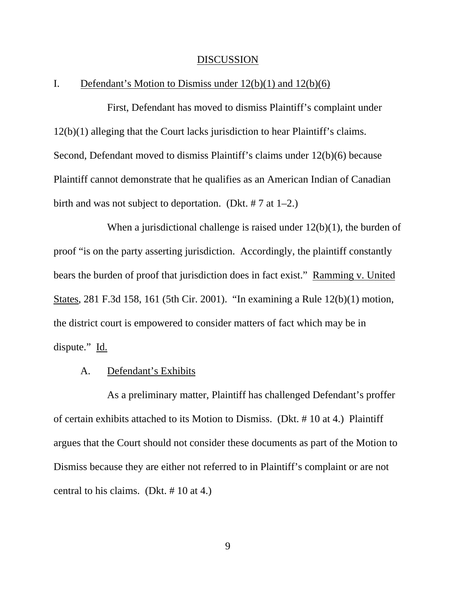#### DISCUSSION

### I. Defendant's Motion to Dismiss under  $12(b)(1)$  and  $12(b)(6)$

 First, Defendant has moved to dismiss Plaintiff's complaint under 12(b)(1) alleging that the Court lacks jurisdiction to hear Plaintiff's claims. Second, Defendant moved to dismiss Plaintiff's claims under 12(b)(6) because Plaintiff cannot demonstrate that he qualifies as an American Indian of Canadian birth and was not subject to deportation. (Dkt. # 7 at 1–2.)

When a jurisdictional challenge is raised under  $12(b)(1)$ , the burden of proof "is on the party asserting jurisdiction. Accordingly, the plaintiff constantly bears the burden of proof that jurisdiction does in fact exist." Ramming v. United States, 281 F.3d 158, 161 (5th Cir. 2001). "In examining a Rule 12(b)(1) motion, the district court is empowered to consider matters of fact which may be in dispute." Id.

#### A. Defendant's Exhibits

 As a preliminary matter, Plaintiff has challenged Defendant's proffer of certain exhibits attached to its Motion to Dismiss. (Dkt. # 10 at 4.) Plaintiff argues that the Court should not consider these documents as part of the Motion to Dismiss because they are either not referred to in Plaintiff's complaint or are not central to his claims. (Dkt. # 10 at 4.)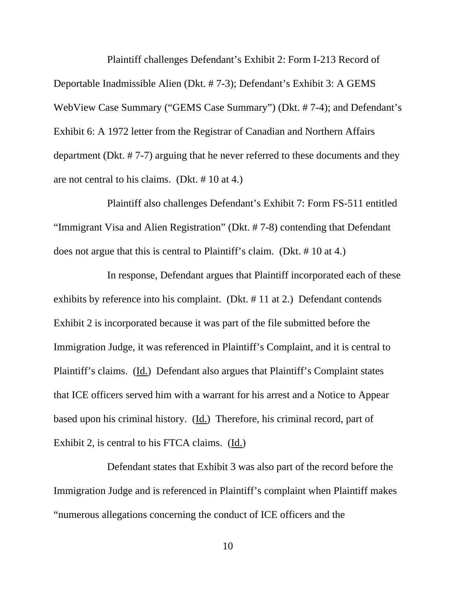Plaintiff challenges Defendant's Exhibit 2: Form I-213 Record of Deportable Inadmissible Alien (Dkt. # 7-3); Defendant's Exhibit 3: A GEMS WebView Case Summary ("GEMS Case Summary") (Dkt. # 7-4); and Defendant's Exhibit 6: A 1972 letter from the Registrar of Canadian and Northern Affairs department (Dkt. # 7-7) arguing that he never referred to these documents and they are not central to his claims. (Dkt. # 10 at 4.)

 Plaintiff also challenges Defendant's Exhibit 7: Form FS-511 entitled "Immigrant Visa and Alien Registration" (Dkt. # 7-8) contending that Defendant does not argue that this is central to Plaintiff's claim. (Dkt. # 10 at 4.)

 In response, Defendant argues that Plaintiff incorporated each of these exhibits by reference into his complaint. (Dkt. # 11 at 2.) Defendant contends Exhibit 2 is incorporated because it was part of the file submitted before the Immigration Judge, it was referenced in Plaintiff's Complaint, and it is central to Plaintiff's claims. (Id.) Defendant also argues that Plaintiff's Complaint states that ICE officers served him with a warrant for his arrest and a Notice to Appear based upon his criminal history. (Id.) Therefore, his criminal record, part of Exhibit 2, is central to his FTCA claims. (Id.)

 Defendant states that Exhibit 3 was also part of the record before the Immigration Judge and is referenced in Plaintiff's complaint when Plaintiff makes "numerous allegations concerning the conduct of ICE officers and the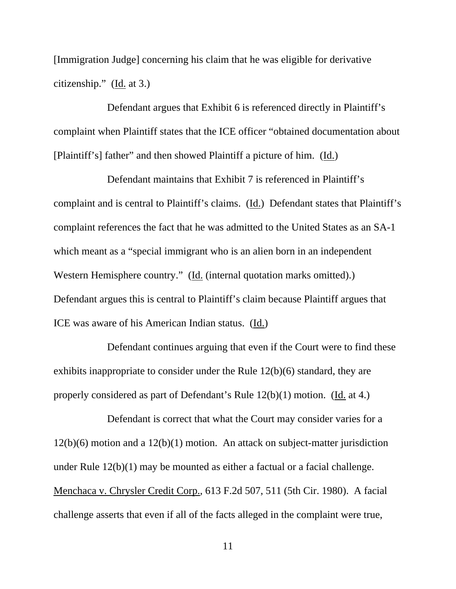[Immigration Judge] concerning his claim that he was eligible for derivative citizenship." (Id. at 3.)

 Defendant argues that Exhibit 6 is referenced directly in Plaintiff's complaint when Plaintiff states that the ICE officer "obtained documentation about [Plaintiff's] father" and then showed Plaintiff a picture of him. (Id.)

 Defendant maintains that Exhibit 7 is referenced in Plaintiff's complaint and is central to Plaintiff's claims. (Id.) Defendant states that Plaintiff's complaint references the fact that he was admitted to the United States as an SA-1 which meant as a "special immigrant who is an alien born in an independent Western Hemisphere country." (Id. (internal quotation marks omitted).) Defendant argues this is central to Plaintiff's claim because Plaintiff argues that ICE was aware of his American Indian status. (Id.)

 Defendant continues arguing that even if the Court were to find these exhibits inappropriate to consider under the Rule 12(b)(6) standard, they are properly considered as part of Defendant's Rule 12(b)(1) motion. (Id. at 4.)

 Defendant is correct that what the Court may consider varies for a 12(b)(6) motion and a 12(b)(1) motion. An attack on subject-matter jurisdiction under Rule 12(b)(1) may be mounted as either a factual or a facial challenge. Menchaca v. Chrysler Credit Corp., 613 F.2d 507, 511 (5th Cir. 1980). A facial challenge asserts that even if all of the facts alleged in the complaint were true,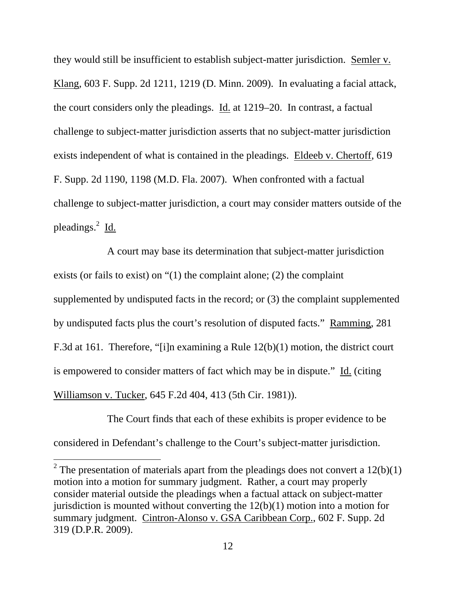they would still be insufficient to establish subject-matter jurisdiction. Semler v. Klang, 603 F. Supp. 2d 1211, 1219 (D. Minn. 2009). In evaluating a facial attack, the court considers only the pleadings. Id. at 1219–20. In contrast, a factual challenge to subject-matter jurisdiction asserts that no subject-matter jurisdiction exists independent of what is contained in the pleadings. Eldeeb v. Chertoff, 619 F. Supp. 2d 1190, 1198 (M.D. Fla. 2007). When confronted with a factual challenge to subject-matter jurisdiction, a court may consider matters outside of the pleadings.<sup>2</sup> Id.

 A court may base its determination that subject-matter jurisdiction exists (or fails to exist) on "(1) the complaint alone; (2) the complaint supplemented by undisputed facts in the record; or (3) the complaint supplemented by undisputed facts plus the court's resolution of disputed facts." Ramming, 281 F.3d at 161. Therefore, "[i]n examining a Rule 12(b)(1) motion, the district court is empowered to consider matters of fact which may be in dispute." Id. (citing Williamson v. Tucker, 645 F.2d 404, 413 (5th Cir. 1981)).

 The Court finds that each of these exhibits is proper evidence to be considered in Defendant's challenge to the Court's subject-matter jurisdiction.

 $\overline{a}$ 

<sup>2</sup> The presentation of materials apart from the pleadings does not convert a  $12(b)(1)$ motion into a motion for summary judgment. Rather, a court may properly consider material outside the pleadings when a factual attack on subject-matter jurisdiction is mounted without converting the  $12(b)(1)$  motion into a motion for summary judgment. Cintron-Alonso v. GSA Caribbean Corp., 602 F. Supp. 2d 319 (D.P.R. 2009).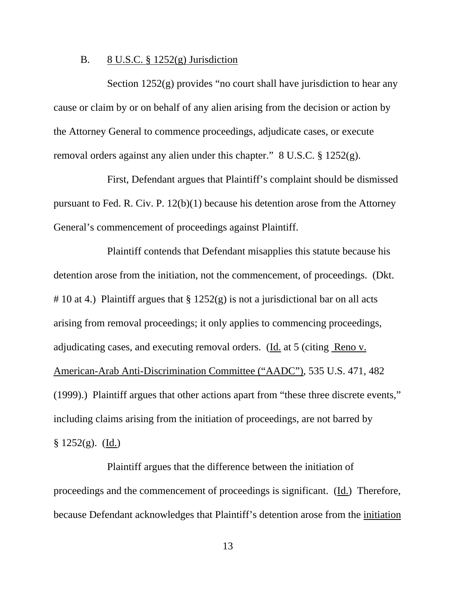#### B. 8 U.S.C.  $\S 1252(g)$  Jurisdiction

Section  $1252(g)$  provides "no court shall have jurisdiction to hear any cause or claim by or on behalf of any alien arising from the decision or action by the Attorney General to commence proceedings, adjudicate cases, or execute removal orders against any alien under this chapter." 8 U.S.C. § 1252(g).

 First, Defendant argues that Plaintiff's complaint should be dismissed pursuant to Fed. R. Civ. P. 12(b)(1) because his detention arose from the Attorney General's commencement of proceedings against Plaintiff.

 Plaintiff contends that Defendant misapplies this statute because his detention arose from the initiation, not the commencement, of proceedings. (Dkt. # 10 at 4.) Plaintiff argues that  $\S 1252(g)$  is not a jurisdictional bar on all acts arising from removal proceedings; it only applies to commencing proceedings, adjudicating cases, and executing removal orders. (Id. at 5 (citing Reno v. American-Arab Anti-Discrimination Committee ("AADC"), 535 U.S. 471, 482 (1999).) Plaintiff argues that other actions apart from "these three discrete events," including claims arising from the initiation of proceedings, are not barred by  $$ 1252(g).$  (Id.)

 Plaintiff argues that the difference between the initiation of proceedings and the commencement of proceedings is significant. (Id.) Therefore, because Defendant acknowledges that Plaintiff's detention arose from the initiation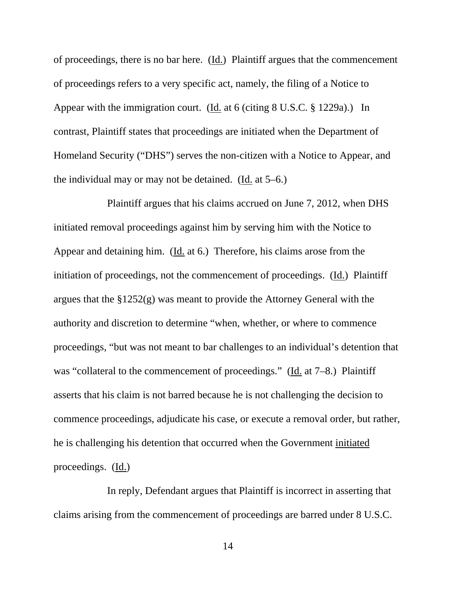of proceedings, there is no bar here. (Id.) Plaintiff argues that the commencement of proceedings refers to a very specific act, namely, the filing of a Notice to Appear with the immigration court. (Id. at 6 (citing 8 U.S.C. § 1229a).) In contrast, Plaintiff states that proceedings are initiated when the Department of Homeland Security ("DHS") serves the non-citizen with a Notice to Appear, and the individual may or may not be detained. (Id. at 5–6.)

 Plaintiff argues that his claims accrued on June 7, 2012, when DHS initiated removal proceedings against him by serving him with the Notice to Appear and detaining him. (Id. at 6.) Therefore, his claims arose from the initiation of proceedings, not the commencement of proceedings. (Id.) Plaintiff argues that the §1252(g) was meant to provide the Attorney General with the authority and discretion to determine "when, whether, or where to commence proceedings, "but was not meant to bar challenges to an individual's detention that was "collateral to the commencement of proceedings." (Id. at 7–8.) Plaintiff asserts that his claim is not barred because he is not challenging the decision to commence proceedings, adjudicate his case, or execute a removal order, but rather, he is challenging his detention that occurred when the Government initiated proceedings. (Id.)

 In reply, Defendant argues that Plaintiff is incorrect in asserting that claims arising from the commencement of proceedings are barred under 8 U.S.C.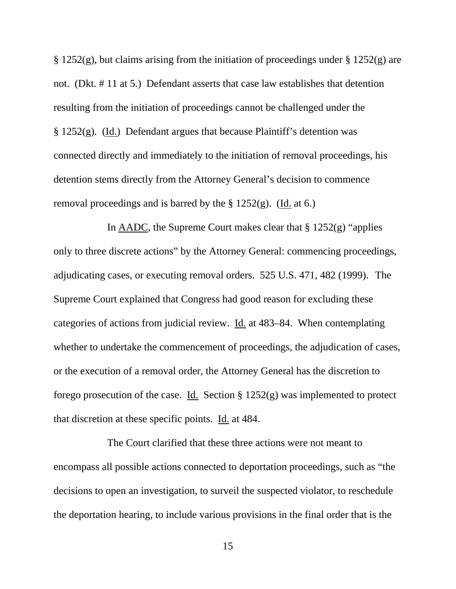$\S 1252(g)$ , but claims arising from the initiation of proceedings under  $\S 1252(g)$  are not. (Dkt. # 11 at 5.) Defendant asserts that case law establishes that detention resulting from the initiation of proceedings cannot be challenged under the § 1252(g). (Id.) Defendant argues that because Plaintiff's detention was connected directly and immediately to the initiation of removal proceedings, his detention stems directly from the Attorney General's decision to commence removal proceedings and is barred by the  $\S 1252(g)$ . (Id. at 6.)

In  $\triangle ADC$ , the Supreme Court makes clear that § 1252(g) "applies only to three discrete actions" by the Attorney General: commencing proceedings, adjudicating cases, or executing removal orders. 525 U.S. 471, 482 (1999). The Supreme Court explained that Congress had good reason for excluding these categories of actions from judicial review. Id. at 483–84. When contemplating whether to undertake the commencement of proceedings, the adjudication of cases, or the execution of a removal order, the Attorney General has the discretion to forego prosecution of the case. Id. Section § 1252(g) was implemented to protect that discretion at these specific points. Id. at 484.

 The Court clarified that these three actions were not meant to encompass all possible actions connected to deportation proceedings, such as "the decisions to open an investigation, to surveil the suspected violator, to reschedule the deportation hearing, to include various provisions in the final order that is the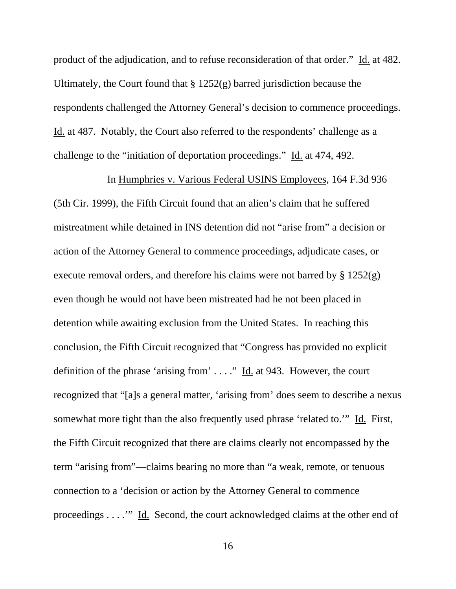product of the adjudication, and to refuse reconsideration of that order." Id. at 482. Ultimately, the Court found that  $\S 1252(g)$  barred jurisdiction because the respondents challenged the Attorney General's decision to commence proceedings. Id. at 487. Notably, the Court also referred to the respondents' challenge as a challenge to the "initiation of deportation proceedings." Id. at 474, 492.

 In Humphries v. Various Federal USINS Employees, 164 F.3d 936 (5th Cir. 1999), the Fifth Circuit found that an alien's claim that he suffered mistreatment while detained in INS detention did not "arise from" a decision or action of the Attorney General to commence proceedings, adjudicate cases, or execute removal orders, and therefore his claims were not barred by  $\S 1252(g)$ even though he would not have been mistreated had he not been placed in detention while awaiting exclusion from the United States. In reaching this conclusion, the Fifth Circuit recognized that "Congress has provided no explicit definition of the phrase 'arising from' . . . ." Id. at 943. However, the court recognized that "[a]s a general matter, 'arising from' does seem to describe a nexus somewhat more tight than the also frequently used phrase 'related to.'" Id. First, the Fifth Circuit recognized that there are claims clearly not encompassed by the term "arising from"—claims bearing no more than "a weak, remote, or tenuous connection to a 'decision or action by the Attorney General to commence proceedings . . . .'" Id. Second, the court acknowledged claims at the other end of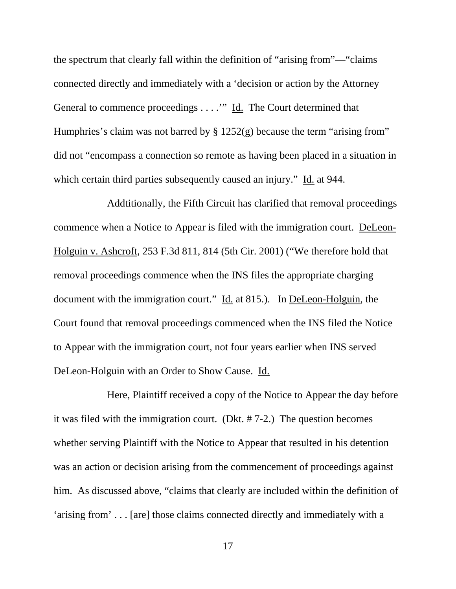the spectrum that clearly fall within the definition of "arising from"—"claims connected directly and immediately with a 'decision or action by the Attorney General to commence proceedings . . . .'" Id. The Court determined that Humphries's claim was not barred by § 1252(g) because the term "arising from" did not "encompass a connection so remote as having been placed in a situation in which certain third parties subsequently caused an injury." Id. at 944.

 Addtitionally, the Fifth Circuit has clarified that removal proceedings commence when a Notice to Appear is filed with the immigration court. DeLeon-Holguin v. Ashcroft, 253 F.3d 811, 814 (5th Cir. 2001) ("We therefore hold that removal proceedings commence when the INS files the appropriate charging document with the immigration court." Id. at 815.). In DeLeon-Holguin, the Court found that removal proceedings commenced when the INS filed the Notice to Appear with the immigration court, not four years earlier when INS served DeLeon-Holguin with an Order to Show Cause. Id.

 Here, Plaintiff received a copy of the Notice to Appear the day before it was filed with the immigration court. (Dkt. # 7-2.) The question becomes whether serving Plaintiff with the Notice to Appear that resulted in his detention was an action or decision arising from the commencement of proceedings against him. As discussed above, "claims that clearly are included within the definition of 'arising from' . . . [are] those claims connected directly and immediately with a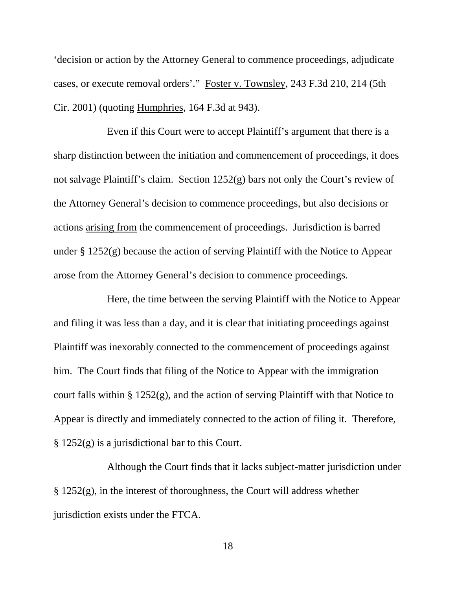'decision or action by the Attorney General to commence proceedings, adjudicate cases, or execute removal orders'." Foster v. Townsley, 243 F.3d 210, 214 (5th Cir. 2001) (quoting Humphries, 164 F.3d at 943).

 Even if this Court were to accept Plaintiff's argument that there is a sharp distinction between the initiation and commencement of proceedings, it does not salvage Plaintiff's claim. Section 1252(g) bars not only the Court's review of the Attorney General's decision to commence proceedings, but also decisions or actions arising from the commencement of proceedings. Jurisdiction is barred under § 1252(g) because the action of serving Plaintiff with the Notice to Appear arose from the Attorney General's decision to commence proceedings.

 Here, the time between the serving Plaintiff with the Notice to Appear and filing it was less than a day, and it is clear that initiating proceedings against Plaintiff was inexorably connected to the commencement of proceedings against him. The Court finds that filing of the Notice to Appear with the immigration court falls within § 1252(g), and the action of serving Plaintiff with that Notice to Appear is directly and immediately connected to the action of filing it. Therefore, § 1252(g) is a jurisdictional bar to this Court.

 Although the Court finds that it lacks subject-matter jurisdiction under  $\S 1252(g)$ , in the interest of thoroughness, the Court will address whether jurisdiction exists under the FTCA.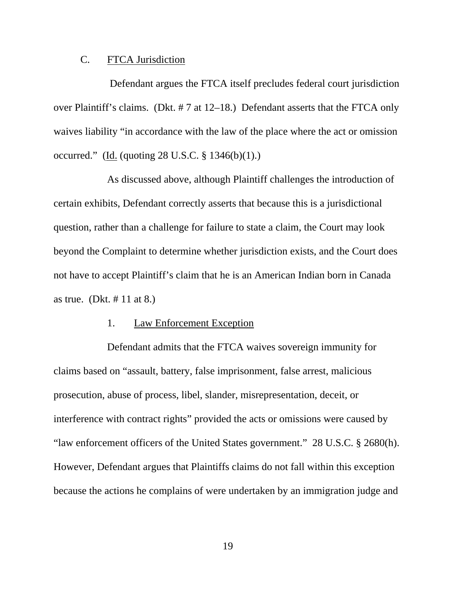#### C. FTCA Jurisdiction

 Defendant argues the FTCA itself precludes federal court jurisdiction over Plaintiff's claims. (Dkt. # 7 at 12–18.) Defendant asserts that the FTCA only waives liability "in accordance with the law of the place where the act or omission occurred." (Id. (quoting 28 U.S.C. § 1346(b)(1).)

 As discussed above, although Plaintiff challenges the introduction of certain exhibits, Defendant correctly asserts that because this is a jurisdictional question, rather than a challenge for failure to state a claim, the Court may look beyond the Complaint to determine whether jurisdiction exists, and the Court does not have to accept Plaintiff's claim that he is an American Indian born in Canada as true. (Dkt. # 11 at 8.)

#### 1. Law Enforcement Exception

 Defendant admits that the FTCA waives sovereign immunity for claims based on "assault, battery, false imprisonment, false arrest, malicious prosecution, abuse of process, libel, slander, misrepresentation, deceit, or interference with contract rights" provided the acts or omissions were caused by "law enforcement officers of the United States government." 28 U.S.C. § 2680(h). However, Defendant argues that Plaintiffs claims do not fall within this exception because the actions he complains of were undertaken by an immigration judge and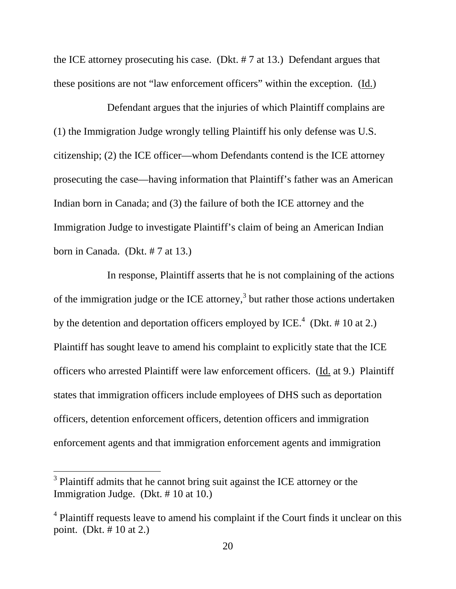the ICE attorney prosecuting his case. (Dkt. # 7 at 13.) Defendant argues that these positions are not "law enforcement officers" within the exception. (Id.)

 Defendant argues that the injuries of which Plaintiff complains are (1) the Immigration Judge wrongly telling Plaintiff his only defense was U.S. citizenship; (2) the ICE officer—whom Defendants contend is the ICE attorney prosecuting the case—having information that Plaintiff's father was an American Indian born in Canada; and (3) the failure of both the ICE attorney and the Immigration Judge to investigate Plaintiff's claim of being an American Indian born in Canada. (Dkt. # 7 at 13.)

 In response, Plaintiff asserts that he is not complaining of the actions of the immigration judge or the ICE attorney, $3$  but rather those actions undertaken by the detention and deportation officers employed by ICE.<sup>4</sup> (Dkt. # 10 at 2.) Plaintiff has sought leave to amend his complaint to explicitly state that the ICE officers who arrested Plaintiff were law enforcement officers. (Id. at 9.) Plaintiff states that immigration officers include employees of DHS such as deportation officers, detention enforcement officers, detention officers and immigration enforcement agents and that immigration enforcement agents and immigration

 $\overline{a}$ 

 $3$  Plaintiff admits that he cannot bring suit against the ICE attorney or the Immigration Judge. (Dkt. # 10 at 10.)

<sup>&</sup>lt;sup>4</sup> Plaintiff requests leave to amend his complaint if the Court finds it unclear on this point. (Dkt. # 10 at 2.)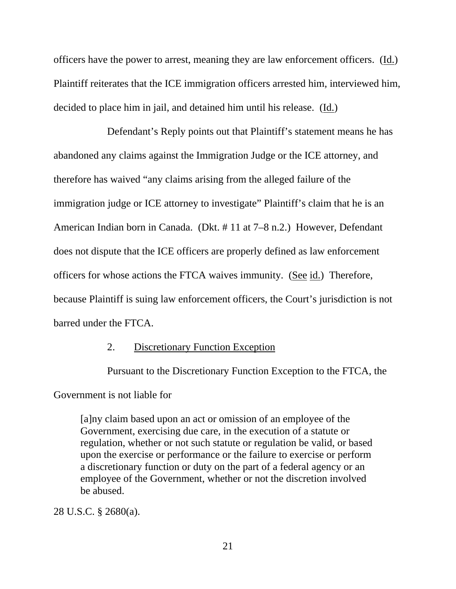officers have the power to arrest, meaning they are law enforcement officers. (Id.) Plaintiff reiterates that the ICE immigration officers arrested him, interviewed him, decided to place him in jail, and detained him until his release. (Id.)

 Defendant's Reply points out that Plaintiff's statement means he has abandoned any claims against the Immigration Judge or the ICE attorney, and therefore has waived "any claims arising from the alleged failure of the immigration judge or ICE attorney to investigate" Plaintiff's claim that he is an American Indian born in Canada. (Dkt. # 11 at 7–8 n.2.) However, Defendant does not dispute that the ICE officers are properly defined as law enforcement officers for whose actions the FTCA waives immunity. (See id.) Therefore, because Plaintiff is suing law enforcement officers, the Court's jurisdiction is not barred under the FTCA.

### 2. Discretionary Function Exception

Pursuant to the Discretionary Function Exception to the FTCA, the

Government is not liable for

[a]ny claim based upon an act or omission of an employee of the Government, exercising due care, in the execution of a statute or regulation, whether or not such statute or regulation be valid, or based upon the exercise or performance or the failure to exercise or perform a discretionary function or duty on the part of a federal agency or an employee of the Government, whether or not the discretion involved be abused.

28 U.S.C. § 2680(a).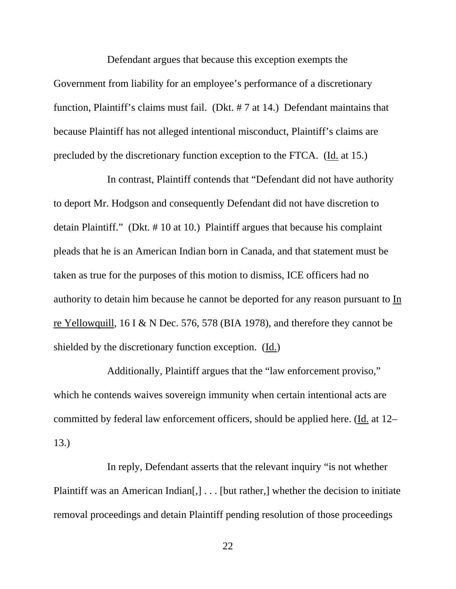Defendant argues that because this exception exempts the Government from liability for an employee's performance of a discretionary function, Plaintiff's claims must fail. (Dkt. # 7 at 14.) Defendant maintains that because Plaintiff has not alleged intentional misconduct, Plaintiff's claims are precluded by the discretionary function exception to the FTCA. (Id. at 15.)

 In contrast, Plaintiff contends that "Defendant did not have authority to deport Mr. Hodgson and consequently Defendant did not have discretion to detain Plaintiff." (Dkt. # 10 at 10.) Plaintiff argues that because his complaint pleads that he is an American Indian born in Canada, and that statement must be taken as true for the purposes of this motion to dismiss, ICE officers had no authority to detain him because he cannot be deported for any reason pursuant to In re Yellowquill, 16 I & N Dec. 576, 578 (BIA 1978), and therefore they cannot be shielded by the discretionary function exception. (Id.)

 Additionally, Plaintiff argues that the "law enforcement proviso," which he contends waives sovereign immunity when certain intentional acts are committed by federal law enforcement officers, should be applied here. (Id. at 12– 13.)

 In reply, Defendant asserts that the relevant inquiry "is not whether Plaintiff was an American Indian<sup>[1]</sup> . . . [but rather,] whether the decision to initiate removal proceedings and detain Plaintiff pending resolution of those proceedings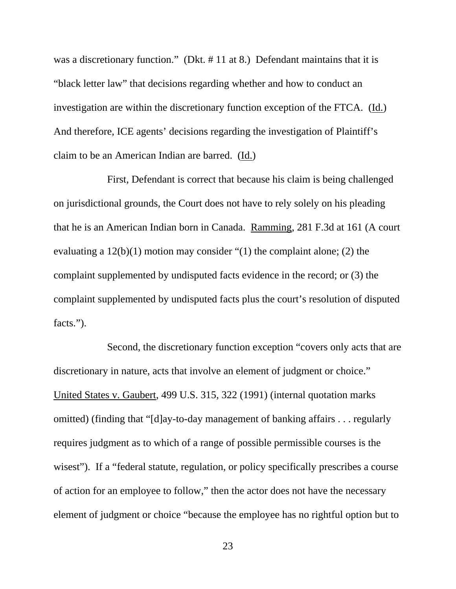was a discretionary function." (Dkt. #11 at 8.) Defendant maintains that it is "black letter law" that decisions regarding whether and how to conduct an investigation are within the discretionary function exception of the FTCA. (Id.) And therefore, ICE agents' decisions regarding the investigation of Plaintiff's claim to be an American Indian are barred. (Id.)

 First, Defendant is correct that because his claim is being challenged on jurisdictional grounds, the Court does not have to rely solely on his pleading that he is an American Indian born in Canada. Ramming, 281 F.3d at 161 (A court evaluating a 12(b)(1) motion may consider "(1) the complaint alone; (2) the complaint supplemented by undisputed facts evidence in the record; or (3) the complaint supplemented by undisputed facts plus the court's resolution of disputed facts.").

 Second, the discretionary function exception "covers only acts that are discretionary in nature, acts that involve an element of judgment or choice." United States v. Gaubert, 499 U.S. 315, 322 (1991) (internal quotation marks omitted) (finding that "[d]ay-to-day management of banking affairs . . . regularly requires judgment as to which of a range of possible permissible courses is the wisest"). If a "federal statute, regulation, or policy specifically prescribes a course of action for an employee to follow," then the actor does not have the necessary element of judgment or choice "because the employee has no rightful option but to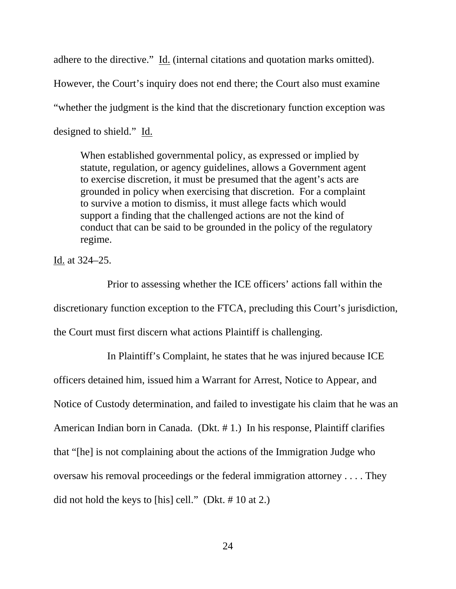adhere to the directive." Id. (internal citations and quotation marks omitted). However, the Court's inquiry does not end there; the Court also must examine "whether the judgment is the kind that the discretionary function exception was designed to shield." Id.

When established governmental policy, as expressed or implied by statute, regulation, or agency guidelines, allows a Government agent to exercise discretion, it must be presumed that the agent's acts are grounded in policy when exercising that discretion. For a complaint to survive a motion to dismiss, it must allege facts which would support a finding that the challenged actions are not the kind of conduct that can be said to be grounded in the policy of the regulatory regime.

Id. at 324–25.

 Prior to assessing whether the ICE officers' actions fall within the discretionary function exception to the FTCA, precluding this Court's jurisdiction, the Court must first discern what actions Plaintiff is challenging.

 In Plaintiff's Complaint, he states that he was injured because ICE officers detained him, issued him a Warrant for Arrest, Notice to Appear, and Notice of Custody determination, and failed to investigate his claim that he was an American Indian born in Canada. (Dkt. # 1.) In his response, Plaintiff clarifies that "[he] is not complaining about the actions of the Immigration Judge who oversaw his removal proceedings or the federal immigration attorney . . . . They did not hold the keys to [his] cell." (Dkt. # 10 at 2.)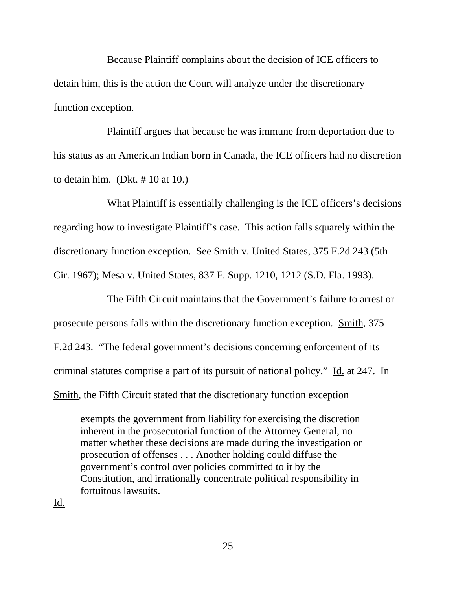Because Plaintiff complains about the decision of ICE officers to detain him, this is the action the Court will analyze under the discretionary function exception.

 Plaintiff argues that because he was immune from deportation due to his status as an American Indian born in Canada, the ICE officers had no discretion to detain him. (Dkt.  $\# 10$  at 10.)

 What Plaintiff is essentially challenging is the ICE officers's decisions regarding how to investigate Plaintiff's case. This action falls squarely within the discretionary function exception. See Smith v. United States, 375 F.2d 243 (5th Cir. 1967); Mesa v. United States, 837 F. Supp. 1210, 1212 (S.D. Fla. 1993).

 The Fifth Circuit maintains that the Government's failure to arrest or prosecute persons falls within the discretionary function exception. Smith, 375 F.2d 243. "The federal government's decisions concerning enforcement of its criminal statutes comprise a part of its pursuit of national policy." Id. at 247. In Smith, the Fifth Circuit stated that the discretionary function exception

exempts the government from liability for exercising the discretion inherent in the prosecutorial function of the Attorney General, no matter whether these decisions are made during the investigation or prosecution of offenses . . . Another holding could diffuse the government's control over policies committed to it by the Constitution, and irrationally concentrate political responsibility in fortuitous lawsuits.

Id.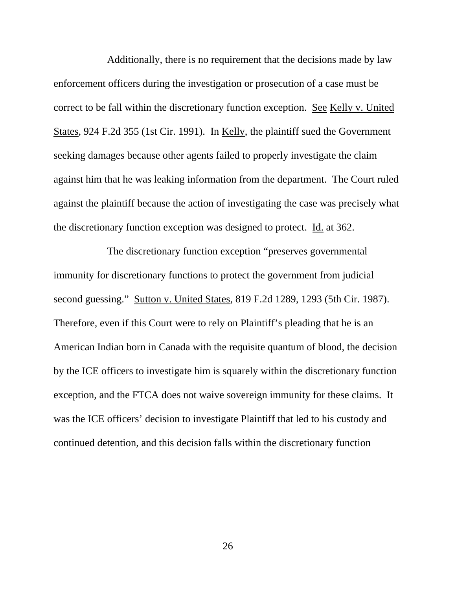Additionally, there is no requirement that the decisions made by law enforcement officers during the investigation or prosecution of a case must be correct to be fall within the discretionary function exception. See Kelly v. United States, 924 F.2d 355 (1st Cir. 1991). In Kelly, the plaintiff sued the Government seeking damages because other agents failed to properly investigate the claim against him that he was leaking information from the department. The Court ruled against the plaintiff because the action of investigating the case was precisely what the discretionary function exception was designed to protect. Id. at 362.

 The discretionary function exception "preserves governmental immunity for discretionary functions to protect the government from judicial second guessing." Sutton v. United States, 819 F.2d 1289, 1293 (5th Cir. 1987). Therefore, even if this Court were to rely on Plaintiff's pleading that he is an American Indian born in Canada with the requisite quantum of blood, the decision by the ICE officers to investigate him is squarely within the discretionary function exception, and the FTCA does not waive sovereign immunity for these claims. It was the ICE officers' decision to investigate Plaintiff that led to his custody and continued detention, and this decision falls within the discretionary function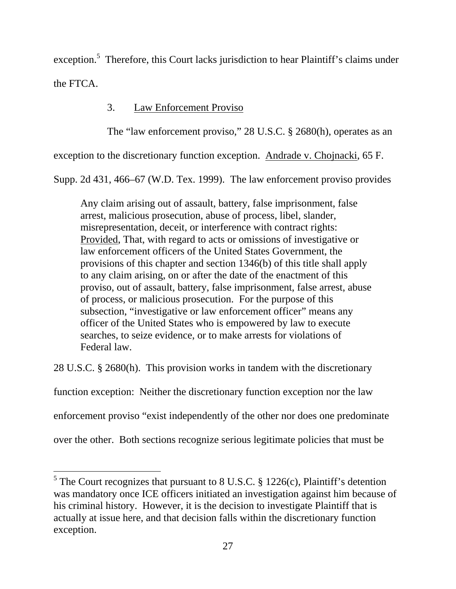exception.<sup>5</sup> Therefore, this Court lacks jurisdiction to hear Plaintiff's claims under the FTCA.

# 3. Law Enforcement Proviso

The "law enforcement proviso," 28 U.S.C. § 2680(h), operates as an

exception to the discretionary function exception. Andrade v. Chojnacki, 65 F.

Supp. 2d 431, 466–67 (W.D. Tex. 1999). The law enforcement proviso provides

Any claim arising out of assault, battery, false imprisonment, false arrest, malicious prosecution, abuse of process, libel, slander, misrepresentation, deceit, or interference with contract rights: Provided, That, with regard to acts or omissions of investigative or law enforcement officers of the United States Government, the provisions of this chapter and section 1346(b) of this title shall apply to any claim arising, on or after the date of the enactment of this proviso, out of assault, battery, false imprisonment, false arrest, abuse of process, or malicious prosecution. For the purpose of this subsection, "investigative or law enforcement officer" means any officer of the United States who is empowered by law to execute searches, to seize evidence, or to make arrests for violations of Federal law.

28 U.S.C. § 2680(h). This provision works in tandem with the discretionary

function exception: Neither the discretionary function exception nor the law

enforcement proviso "exist independently of the other nor does one predominate

over the other. Both sections recognize serious legitimate policies that must be

 $\overline{a}$ 

<sup>&</sup>lt;sup>5</sup> The Court recognizes that pursuant to 8 U.S.C. § 1226(c), Plaintiff's detention was mandatory once ICE officers initiated an investigation against him because of his criminal history. However, it is the decision to investigate Plaintiff that is actually at issue here, and that decision falls within the discretionary function exception.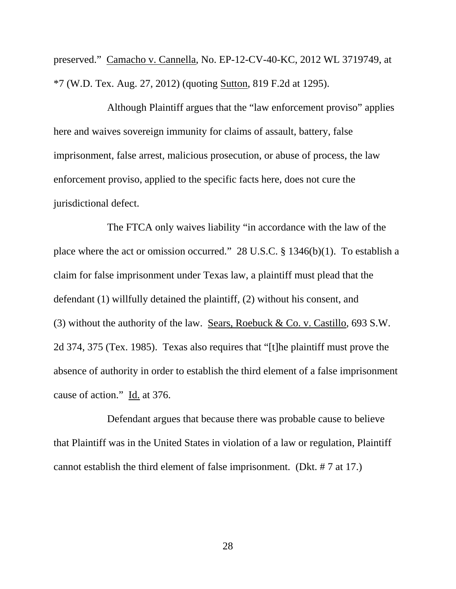preserved." Camacho v. Cannella, No. EP-12-CV-40-KC, 2012 WL 3719749, at \*7 (W.D. Tex. Aug. 27, 2012) (quoting Sutton, 819 F.2d at 1295).

 Although Plaintiff argues that the "law enforcement proviso" applies here and waives sovereign immunity for claims of assault, battery, false imprisonment, false arrest, malicious prosecution, or abuse of process, the law enforcement proviso, applied to the specific facts here, does not cure the jurisdictional defect.

 The FTCA only waives liability "in accordance with the law of the place where the act or omission occurred." 28 U.S.C. § 1346(b)(1). To establish a claim for false imprisonment under Texas law, a plaintiff must plead that the defendant (1) willfully detained the plaintiff, (2) without his consent, and (3) without the authority of the law. Sears, Roebuck & Co. v. Castillo, 693 S.W. 2d 374, 375 (Tex. 1985). Texas also requires that "[t]he plaintiff must prove the absence of authority in order to establish the third element of a false imprisonment cause of action." Id. at 376.

 Defendant argues that because there was probable cause to believe that Plaintiff was in the United States in violation of a law or regulation, Plaintiff cannot establish the third element of false imprisonment. (Dkt. # 7 at 17.)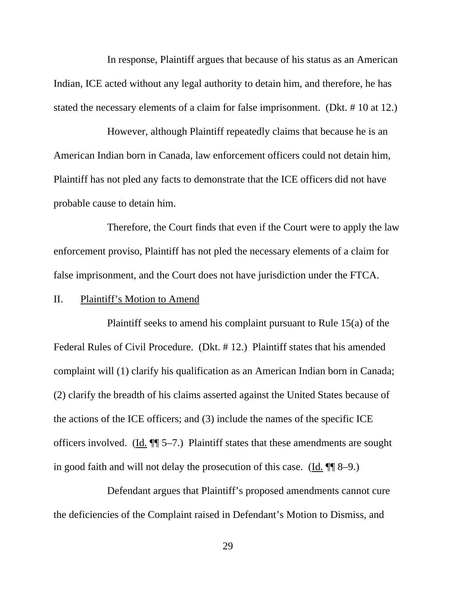In response, Plaintiff argues that because of his status as an American Indian, ICE acted without any legal authority to detain him, and therefore, he has stated the necessary elements of a claim for false imprisonment. (Dkt. # 10 at 12.)

 However, although Plaintiff repeatedly claims that because he is an American Indian born in Canada, law enforcement officers could not detain him, Plaintiff has not pled any facts to demonstrate that the ICE officers did not have probable cause to detain him.

 Therefore, the Court finds that even if the Court were to apply the law enforcement proviso, Plaintiff has not pled the necessary elements of a claim for false imprisonment, and the Court does not have jurisdiction under the FTCA.

### II. Plaintiff's Motion to Amend

 Plaintiff seeks to amend his complaint pursuant to Rule 15(a) of the Federal Rules of Civil Procedure. (Dkt. # 12.) Plaintiff states that his amended complaint will (1) clarify his qualification as an American Indian born in Canada; (2) clarify the breadth of his claims asserted against the United States because of the actions of the ICE officers; and (3) include the names of the specific ICE officers involved. (Id. ¶¶ 5–7.) Plaintiff states that these amendments are sought in good faith and will not delay the prosecution of this case. (Id. ¶¶ 8–9.)

 Defendant argues that Plaintiff's proposed amendments cannot cure the deficiencies of the Complaint raised in Defendant's Motion to Dismiss, and